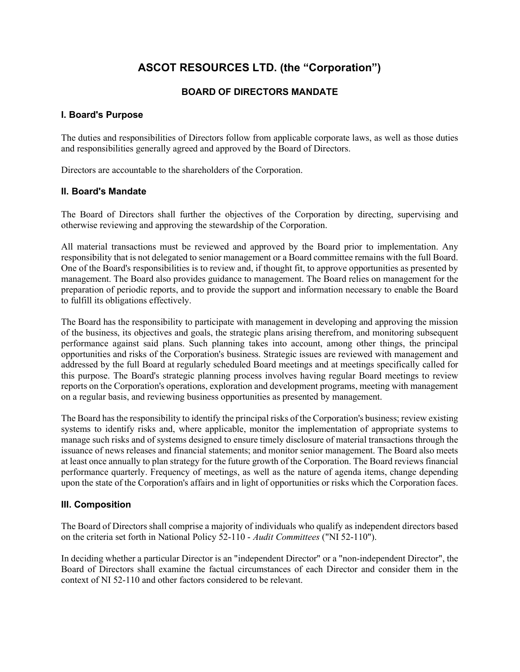# ASCOT RESOURCES LTD. (the "Corporation")

# BOARD OF DIRECTORS MANDATE

# I. Board's Purpose

The duties and responsibilities of Directors follow from applicable corporate laws, as well as those duties and responsibilities generally agreed and approved by the Board of Directors.

Directors are accountable to the shareholders of the Corporation.

# II. Board's Mandate

The Board of Directors shall further the objectives of the Corporation by directing, supervising and otherwise reviewing and approving the stewardship of the Corporation.

All material transactions must be reviewed and approved by the Board prior to implementation. Any responsibility that is not delegated to senior management or a Board committee remains with the full Board. One of the Board's responsibilities is to review and, if thought fit, to approve opportunities as presented by management. The Board also provides guidance to management. The Board relies on management for the preparation of periodic reports, and to provide the support and information necessary to enable the Board to fulfill its obligations effectively.

The Board has the responsibility to participate with management in developing and approving the mission of the business, its objectives and goals, the strategic plans arising therefrom, and monitoring subsequent performance against said plans. Such planning takes into account, among other things, the principal opportunities and risks of the Corporation's business. Strategic issues are reviewed with management and addressed by the full Board at regularly scheduled Board meetings and at meetings specifically called for this purpose. The Board's strategic planning process involves having regular Board meetings to review reports on the Corporation's operations, exploration and development programs, meeting with management on a regular basis, and reviewing business opportunities as presented by management.

The Board has the responsibility to identify the principal risks of the Corporation's business; review existing systems to identify risks and, where applicable, monitor the implementation of appropriate systems to manage such risks and of systems designed to ensure timely disclosure of material transactions through the issuance of news releases and financial statements; and monitor senior management. The Board also meets at least once annually to plan strategy for the future growth of the Corporation. The Board reviews financial performance quarterly. Frequency of meetings, as well as the nature of agenda items, change depending upon the state of the Corporation's affairs and in light of opportunities or risks which the Corporation faces.

# III. Composition

The Board of Directors shall comprise a majority of individuals who qualify as independent directors based on the criteria set forth in National Policy 52-110 - Audit Committees ("NI 52-110").

In deciding whether a particular Director is an "independent Director" or a "non-independent Director", the Board of Directors shall examine the factual circumstances of each Director and consider them in the context of NI 52-110 and other factors considered to be relevant.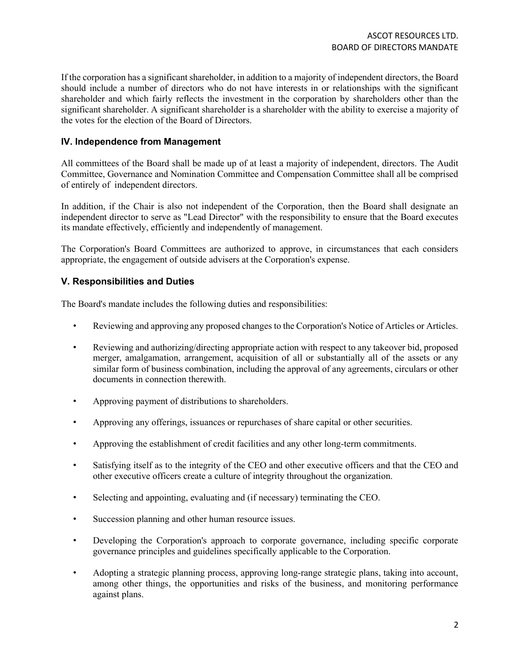If the corporation has a significant shareholder, in addition to a majority of independent directors, the Board should include a number of directors who do not have interests in or relationships with the significant shareholder and which fairly reflects the investment in the corporation by shareholders other than the significant shareholder. A significant shareholder is a shareholder with the ability to exercise a majority of the votes for the election of the Board of Directors.

#### IV. Independence from Management

All committees of the Board shall be made up of at least a majority of independent, directors. The Audit Committee, Governance and Nomination Committee and Compensation Committee shall all be comprised of entirely of independent directors.

In addition, if the Chair is also not independent of the Corporation, then the Board shall designate an independent director to serve as "Lead Director" with the responsibility to ensure that the Board executes its mandate effectively, efficiently and independently of management.

The Corporation's Board Committees are authorized to approve, in circumstances that each considers appropriate, the engagement of outside advisers at the Corporation's expense.

### V. Responsibilities and Duties

The Board's mandate includes the following duties and responsibilities:

- Reviewing and approving any proposed changes to the Corporation's Notice of Articles or Articles.
- Reviewing and authorizing/directing appropriate action with respect to any takeover bid, proposed merger, amalgamation, arrangement, acquisition of all or substantially all of the assets or any similar form of business combination, including the approval of any agreements, circulars or other documents in connection therewith.
- Approving payment of distributions to shareholders.
- Approving any offerings, issuances or repurchases of share capital or other securities.
- Approving the establishment of credit facilities and any other long-term commitments.
- Satisfying itself as to the integrity of the CEO and other executive officers and that the CEO and other executive officers create a culture of integrity throughout the organization.
- Selecting and appointing, evaluating and (if necessary) terminating the CEO.
- Succession planning and other human resource issues.
- Developing the Corporation's approach to corporate governance, including specific corporate governance principles and guidelines specifically applicable to the Corporation.
- Adopting a strategic planning process, approving long-range strategic plans, taking into account, among other things, the opportunities and risks of the business, and monitoring performance against plans.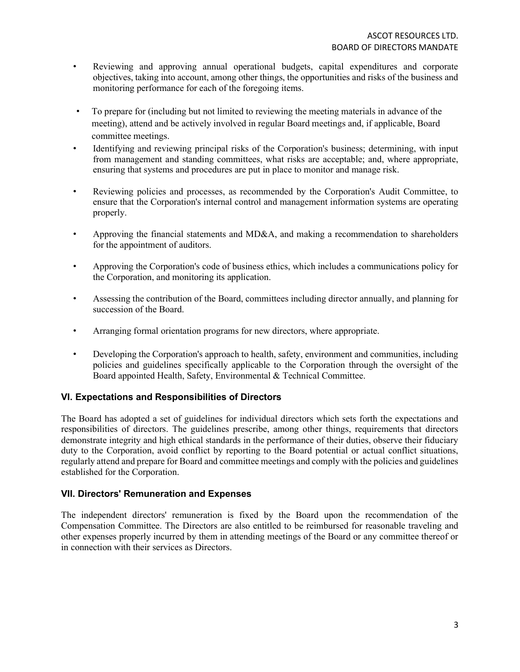- Reviewing and approving annual operational budgets, capital expenditures and corporate objectives, taking into account, among other things, the opportunities and risks of the business and monitoring performance for each of the foregoing items.
- To prepare for (including but not limited to reviewing the meeting materials in advance of the meeting), attend and be actively involved in regular Board meetings and, if applicable, Board committee meetings.
- Identifying and reviewing principal risks of the Corporation's business; determining, with input from management and standing committees, what risks are acceptable; and, where appropriate, ensuring that systems and procedures are put in place to monitor and manage risk.
- Reviewing policies and processes, as recommended by the Corporation's Audit Committee, to ensure that the Corporation's internal control and management information systems are operating properly.
- Approving the financial statements and MD&A, and making a recommendation to shareholders for the appointment of auditors.
- Approving the Corporation's code of business ethics, which includes a communications policy for the Corporation, and monitoring its application.
- Assessing the contribution of the Board, committees including director annually, and planning for succession of the Board.
- Arranging formal orientation programs for new directors, where appropriate.
- Developing the Corporation's approach to health, safety, environment and communities, including policies and guidelines specifically applicable to the Corporation through the oversight of the Board appointed Health, Safety, Environmental & Technical Committee.

# VI. Expectations and Responsibilities of Directors

The Board has adopted a set of guidelines for individual directors which sets forth the expectations and responsibilities of directors. The guidelines prescribe, among other things, requirements that directors demonstrate integrity and high ethical standards in the performance of their duties, observe their fiduciary duty to the Corporation, avoid conflict by reporting to the Board potential or actual conflict situations, regularly attend and prepare for Board and committee meetings and comply with the policies and guidelines established for the Corporation.

#### VII. Directors' Remuneration and Expenses

The independent directors' remuneration is fixed by the Board upon the recommendation of the Compensation Committee. The Directors are also entitled to be reimbursed for reasonable traveling and other expenses properly incurred by them in attending meetings of the Board or any committee thereof or in connection with their services as Directors.